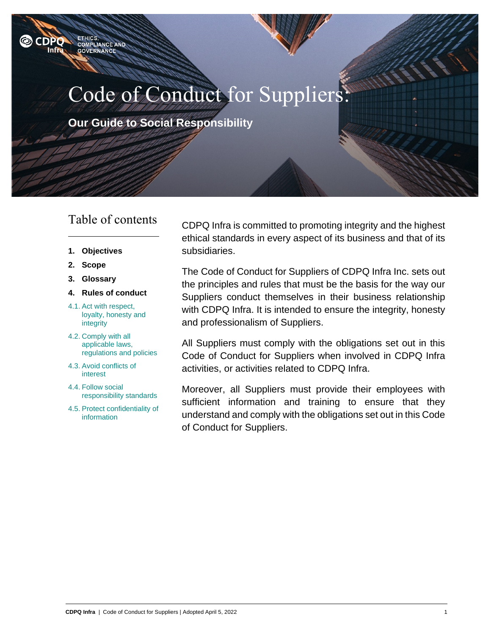

**Our Guide to Social Responsibility**

## Table of contents

ETHICS,<br>COMPLIANCE AND

**GOVERNANCE** 

**O** CDPO Infra

- **1. [Objectives](#page-1-0)**
- **2. [Scope](#page-1-1)**
- **3. Glossary**
- **4. [Rules of conduct](#page-1-2)**
- 4.1. [Act with respect,](#page-1-3)  [loyalty, honesty and](#page-1-3)  [integrity](#page-1-3)
- 4.2. [Comply with all](#page-2-0)  [applicable laws,](#page-2-0)  [regulations and policies](#page-2-0)
- 4.3. [Avoid conflicts of](#page-3-0)  [interest](#page-3-0)
- 4.4. [Follow social](#page-3-1)  [responsibility standards](#page-3-1)
- 4.5. [Protect confidentiality of](#page-4-0)  [information](#page-4-0)

CDPQ Infra is committed to promoting integrity and the highest ethical standards in every aspect of its business and that of its subsidiaries.

The Code of Conduct for Suppliers of CDPQ Infra Inc. sets out the principles and rules that must be the basis for the way our Suppliers conduct themselves in their business relationship with CDPQ Infra. It is intended to ensure the integrity, honesty and professionalism of Suppliers.

All Suppliers must comply with the obligations set out in this Code of Conduct for Suppliers when involved in CDPQ Infra activities, or activities related to CDPQ Infra.

Moreover, all Suppliers must provide their employees with sufficient information and training to ensure that they understand and comply with the obligations set out in this Code of Conduct for Suppliers.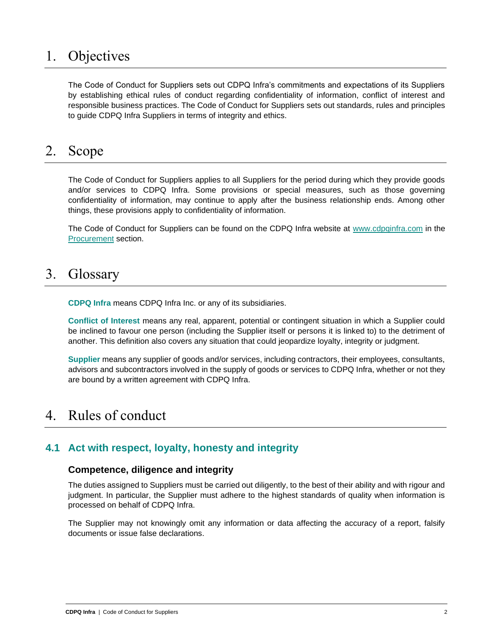# <span id="page-1-0"></span>1. Objectives

The Code of Conduct for Suppliers sets out CDPQ Infra's commitments and expectations of its Suppliers by establishing ethical rules of conduct regarding confidentiality of information, conflict of interest and responsible business practices. The Code of Conduct for Suppliers sets out standards, rules and principles to guide CDPQ Infra Suppliers in terms of integrity and ethics.

## <span id="page-1-1"></span>2. Scope

The Code of Conduct for Suppliers applies to all Suppliers for the period during which they provide goods and/or services to CDPQ Infra. Some provisions or special measures, such as those governing confidentiality of information, may continue to apply after the business relationship ends. Among other things, these provisions apply to confidentiality of information.

The Code of Conduct for Suppliers can be found on the CDPQ Infra website at [www.cdpqinfra.com](https://www.cdpqinfra.com/en/projects/rem) in the [Procurement](https://www.cdpqinfra.com/en/projects/rem) section.

# 3. Glossary

**CDPQ Infra** means CDPQ Infra Inc. or any of its subsidiaries.

**Conflict of Interest** means any real, apparent, potential or contingent situation in which a Supplier could be inclined to favour one person (including the Supplier itself or persons it is linked to) to the detriment of another. This definition also covers any situation that could jeopardize loyalty, integrity or judgment.

**Supplier** means any supplier of goods and/or services, including contractors, their employees, consultants, advisors and subcontractors involved in the supply of goods or services to CDPQ Infra, whether or not they are bound by a written agreement with CDPQ Infra.

# <span id="page-1-2"></span>4. Rules of conduct

## <span id="page-1-3"></span>**4.1 Act with respect, loyalty, honesty and integrity**

#### **Competence, diligence and integrity**

The duties assigned to Suppliers must be carried out diligently, to the best of their ability and with rigour and judgment. In particular, the Supplier must adhere to the highest standards of quality when information is processed on behalf of CDPQ Infra.

The Supplier may not knowingly omit any information or data affecting the accuracy of a report, falsify documents or issue false declarations.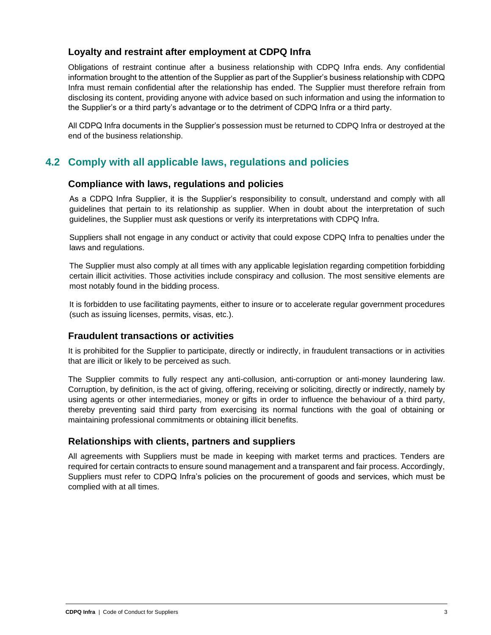## **Loyalty and restraint after employment at CDPQ Infra**

Obligations of restraint continue after a business relationship with CDPQ Infra ends. Any confidential information brought to the attention of the Supplier as part of the Supplier's business relationship with CDPQ Infra must remain confidential after the relationship has ended. The Supplier must therefore refrain from disclosing its content, providing anyone with advice based on such information and using the information to the Supplier's or a third party's advantage or to the detriment of CDPQ Infra or a third party.

All CDPQ Infra documents in the Supplier's possession must be returned to CDPQ Infra or destroyed at the end of the business relationship.

## <span id="page-2-0"></span>**4.2 Comply with all applicable laws, regulations and policies**

## **Compliance with laws, regulations and policies**

As a CDPQ Infra Supplier, it is the Supplier's responsibility to consult, understand and comply with all guidelines that pertain to its relationship as supplier. When in doubt about the interpretation of such guidelines, the Supplier must ask questions or verify its interpretations with CDPQ Infra.

Suppliers shall not engage in any conduct or activity that could expose CDPQ Infra to penalties under the laws and regulations.

The Supplier must also comply at all times with any applicable legislation regarding competition forbidding certain illicit activities. Those activities include conspiracy and collusion. The most sensitive elements are most notably found in the bidding process.

It is forbidden to use facilitating payments, either to insure or to accelerate regular government procedures (such as issuing licenses, permits, visas, etc.).

## **Fraudulent transactions or activities**

It is prohibited for the Supplier to participate, directly or indirectly, in fraudulent transactions or in activities that are illicit or likely to be perceived as such.

The Supplier commits to fully respect any anti-collusion, anti-corruption or anti-money laundering law. Corruption, by definition, is the act of giving, offering, receiving or soliciting, directly or indirectly, namely by using agents or other intermediaries, money or gifts in order to influence the behaviour of a third party, thereby preventing said third party from exercising its normal functions with the goal of obtaining or maintaining professional commitments or obtaining illicit benefits.

## **Relationships with clients, partners and suppliers**

All agreements with Suppliers must be made in keeping with market terms and practices. Tenders are required for certain contracts to ensure sound management and a transparent and fair process. Accordingly, Suppliers must refer to CDPQ Infra's policies on the procurement of goods and services, which must be complied with at all times.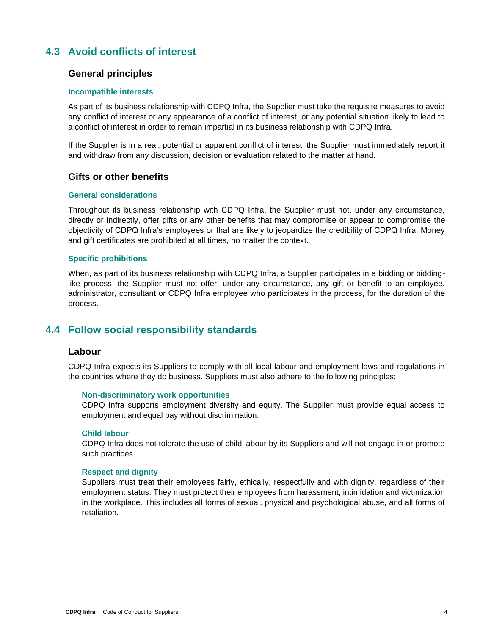## <span id="page-3-0"></span>**4.3 Avoid conflicts of interest**

### **General principles**

#### **Incompatible interests**

As part of its business relationship with CDPQ Infra, the Supplier must take the requisite measures to avoid any conflict of interest or any appearance of a conflict of interest, or any potential situation likely to lead to a conflict of interest in order to remain impartial in its business relationship with CDPQ Infra.

If the Supplier is in a real, potential or apparent conflict of interest, the Supplier must immediately report it and withdraw from any discussion, decision or evaluation related to the matter at hand.

#### **Gifts or other benefits**

#### **General considerations**

Throughout its business relationship with CDPQ Infra, the Supplier must not, under any circumstance, directly or indirectly, offer gifts or any other benefits that may compromise or appear to compromise the objectivity of CDPQ Infra's employees or that are likely to jeopardize the credibility of CDPQ Infra. Money and gift certificates are prohibited at all times, no matter the context.

#### **Specific prohibitions**

When, as part of its business relationship with CDPQ Infra, a Supplier participates in a bidding or biddinglike process, the Supplier must not offer, under any circumstance, any gift or benefit to an employee, administrator, consultant or CDPQ Infra employee who participates in the process, for the duration of the process.

## <span id="page-3-1"></span>**4.4 Follow social responsibility standards**

#### **Labour**

CDPQ Infra expects its Suppliers to comply with all local labour and employment laws and regulations in the countries where they do business. Suppliers must also adhere to the following principles:

#### **Non-discriminatory work opportunities**

CDPQ Infra supports employment diversity and equity. The Supplier must provide equal access to employment and equal pay without discrimination.

#### **Child labour**

CDPQ Infra does not tolerate the use of child labour by its Suppliers and will not engage in or promote such practices.

#### **Respect and dignity**

Suppliers must treat their employees fairly, ethically, respectfully and with dignity, regardless of their employment status. They must protect their employees from harassment, intimidation and victimization in the workplace. This includes all forms of sexual, physical and psychological abuse, and all forms of retaliation.